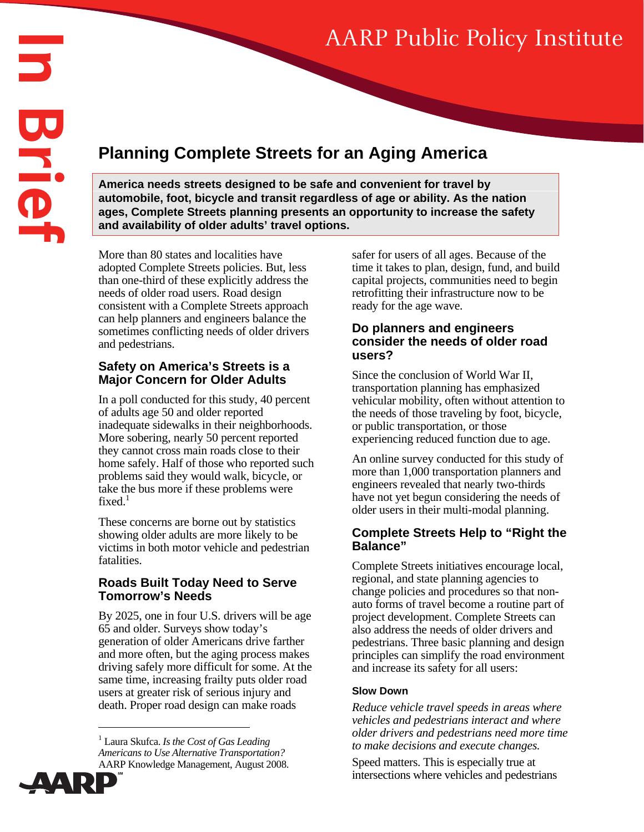# AARP Public Policy Institute

# **Planning Complete Streets for an Aging America**

**America needs streets designed to be safe and convenient for travel by automobile, foot, bicycle and transit regardless of age or ability. As the nation ages, Complete Streets planning presents an opportunity to increase the safety and availability of older adults' travel options.** 

More than 80 states and localities have adopted Complete Streets policies. But, less than one-third of these explicitly address the needs of older road users. Road design consistent with a Complete Streets approach can help planners and engineers balance the sometimes conflicting needs of older drivers and pedestrians.

# **Safety on America's Streets is a Major Concern for Older Adults**

In a poll conducted for this study, 40 percent of adults age 50 and older reported inadequate sidewalks in their neighborhoods. More sobering, nearly 50 percent reported they cannot cross main roads close to their home safely. Half of those who reported such problems said they would walk, bicycle, or take the bus more if these problems were fixed. $<sup>1</sup>$ </sup>

These concerns are borne out by statistics showing older adults are more likely to be victims in both motor vehicle and pedestrian fatalities.

# **Roads Built Today Need to Serve Tomorrow's Needs**

By 2025, one in four U.S. drivers will be age 65 and older. Surveys show today's generation of older Americans drive farther and more often, but the aging process makes driving safely more difficult for some. At the same time, increasing frailty puts older road users at greater risk of serious injury and death. Proper road design can make roads

<sup>1</sup> Laura Skufca. *Is the Cost of Gas Leading Americans to Use Alternative Transportation?* AARP Knowledge Management, August 2008.



 $\overline{a}$ 

safer for users of all ages. Because of the time it takes to plan, design, fund, and build capital projects, communities need to begin retrofitting their infrastructure now to be ready for the age wave.

# **Do planners and engineers consider the needs of older road users?**

Since the conclusion of World War II, transportation planning has emphasized vehicular mobility, often without attention to the needs of those traveling by foot, bicycle, or public transportation, or those experiencing reduced function due to age.

An online survey conducted for this study of more than 1,000 transportation planners and engineers revealed that nearly two-thirds have not yet begun considering the needs of older users in their multi-modal planning.

# **Complete Streets Help to "Right the Balance"**

Complete Streets initiatives encourage local, regional, and state planning agencies to change policies and procedures so that nonauto forms of travel become a routine part of project development. Complete Streets can also address the needs of older drivers and pedestrians. Three basic planning and design principles can simplify the road environment and increase its safety for all users:

#### **Slow Down**

*Reduce vehicle travel speeds in areas where vehicles and pedestrians interact and where older drivers and pedestrians need more time to make decisions and execute changes.* 

Speed matters. This is especially true at intersections where vehicles and pedestrians